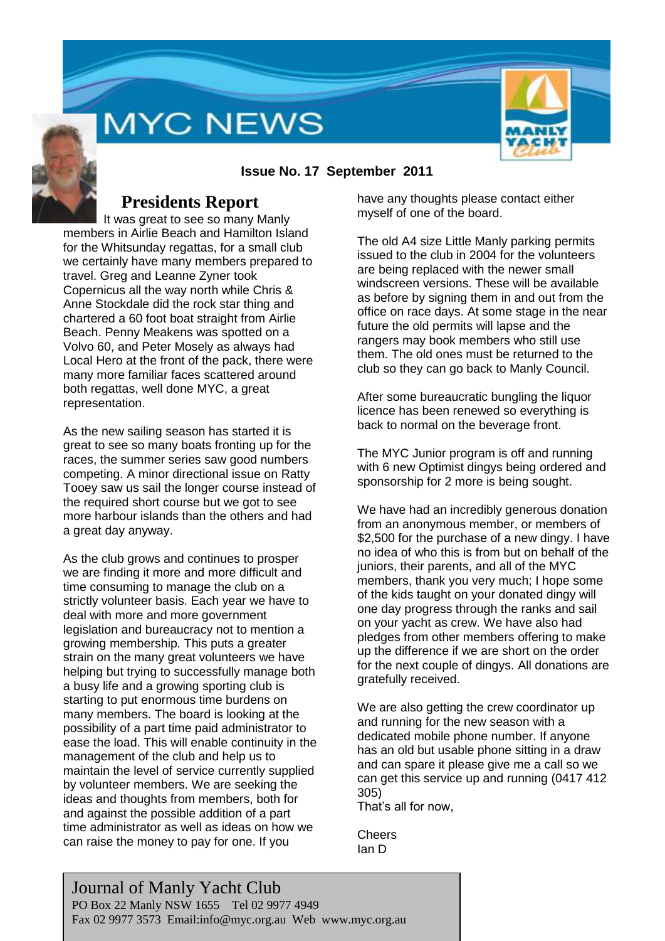# **MYC NEWS**



### **Issue No. 17 September 2011**

### **Presidents Report**

It was great to see so many Manly members in Airlie Beach and Hamilton Island for the Whitsunday regattas, for a small club we certainly have many members prepared to travel. Greg and Leanne Zyner took Copernicus all the way north while Chris & Anne Stockdale did the rock star thing and chartered a 60 foot boat straight from Airlie Beach. Penny Meakens was spotted on a Volvo 60, and Peter Mosely as always had Local Hero at the front of the pack, there were many more familiar faces scattered around both regattas, well done MYC, a great representation.

As the new sailing season has started it is great to see so many boats fronting up for the races, the summer series saw good numbers competing. A minor directional issue on Ratty Tooey saw us sail the longer course instead of the required short course but we got to see more harbour islands than the others and had a great day anyway.

As the club grows and continues to prosper we are finding it more and more difficult and time consuming to manage the club on a strictly volunteer basis. Each year we have to deal with more and more government legislation and bureaucracy not to mention a growing membership. This puts a greater strain on the many great volunteers we have helping but trying to successfully manage both a busy life and a growing sporting club is starting to put enormous time burdens on many members. The board is looking at the possibility of a part time paid administrator to ease the load. This will enable continuity in the management of the club and help us to maintain the level of service currently supplied by volunteer members. We are seeking the ideas and thoughts from members, both for and against the possible addition of a part time administrator as well as ideas on how we can raise the money to pay for one. If you

have any thoughts please contact either myself of one of the board.

The old A4 size Little Manly parking permits issued to the club in 2004 for the volunteers are being replaced with the newer small windscreen versions. These will be available as before by signing them in and out from the office on race days. At some stage in the near future the old permits will lapse and the rangers may book members who still use them. The old ones must be returned to the club so they can go back to Manly Council.

After some bureaucratic bungling the liquor licence has been renewed so everything is back to normal on the beverage front.

The MYC Junior program is off and running with 6 new Optimist dingys being ordered and sponsorship for 2 more is being sought.

We have had an incredibly generous donation from an anonymous member, or members of \$2,500 for the purchase of a new dingy. I have no idea of who this is from but on behalf of the juniors, their parents, and all of the MYC members, thank you very much; I hope some of the kids taught on your donated dingy will one day progress through the ranks and sail on your yacht as crew. We have also had pledges from other members offering to make up the difference if we are short on the order for the next couple of dingys. All donations are gratefully received.

We are also getting the crew coordinator up and running for the new season with a dedicated mobile phone number. If anyone has an old but usable phone sitting in a draw and can spare it please give me a call so we can get this service up and running (0417 412 305)

That's all for now,

**Cheers** Ian D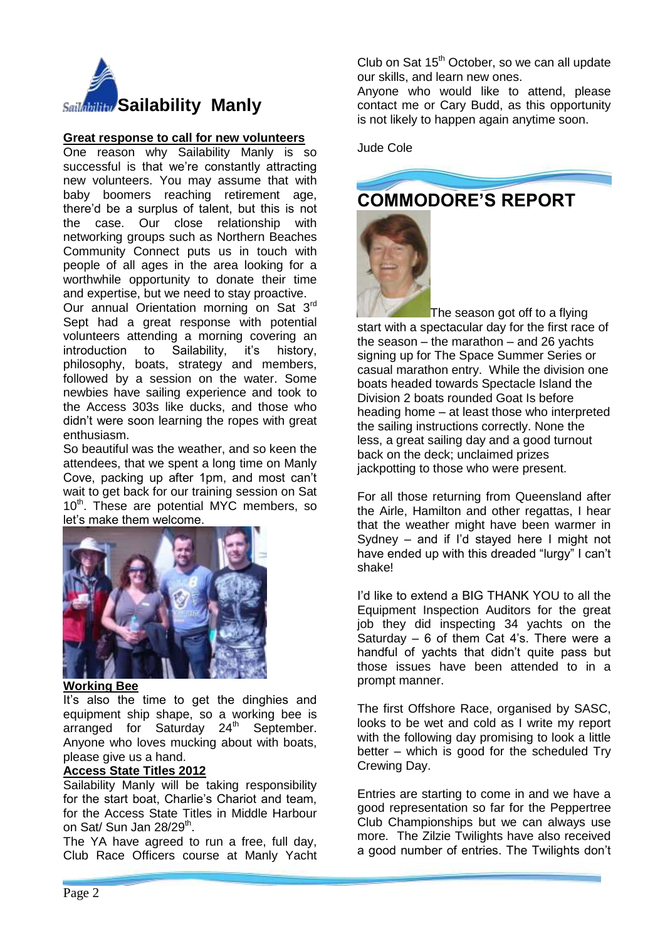

### **Great response to call for new volunteers**

One reason why Sailability Manly is so successful is that we're constantly attracting new volunteers. You may assume that with baby boomers reaching retirement age, there'd be a surplus of talent, but this is not the case. Our close relationship with networking groups such as Northern Beaches Community Connect puts us in touch with people of all ages in the area looking for a worthwhile opportunity to donate their time and expertise, but we need to stay proactive.

Our annual Orientation morning on Sat 3rd Sept had a great response with potential volunteers attending a morning covering an introduction to Sailability, it's history, philosophy, boats, strategy and members, followed by a session on the water. Some newbies have sailing experience and took to the Access 303s like ducks, and those who didn't were soon learning the ropes with great enthusiasm.

So beautiful was the weather, and so keen the attendees, that we spent a long time on Manly Cove, packing up after 1pm, and most can't wait to get back for our training session on Sat 10<sup>th</sup>. These are potential MYC members, so let's make them welcome.



#### **Working Bee**

It's also the time to get the dinghies and equipment ship shape, so a working bee is arranged for Saturday  $24<sup>th</sup>$  September. Anyone who loves mucking about with boats, please give us a hand.

### **Access State Titles 2012**

Sailability Manly will be taking responsibility for the start boat, Charlie's Chariot and team, for the Access State Titles in Middle Harbour on Sat/ Sun Jan 28/29<sup>th</sup>.

The YA have agreed to run a free, full day, Club Race Officers course at Manly Yacht Club on Sat  $15<sup>th</sup>$  October, so we can all update our skills, and learn new ones.

Anyone who would like to attend, please contact me or Cary Budd, as this opportunity is not likely to happen again anytime soon.

Jude Cole



The season got off to a flying start with a spectacular day for the first race of the season – the marathon – and 26 yachts signing up for The Space Summer Series or casual marathon entry. While the division one boats headed towards Spectacle Island the Division 2 boats rounded Goat Is before heading home – at least those who interpreted the sailing instructions correctly. None the less, a great sailing day and a good turnout back on the deck; unclaimed prizes jackpotting to those who were present.

For all those returning from Queensland after the Airle, Hamilton and other regattas, I hear that the weather might have been warmer in Sydney – and if I'd stayed here I might not have ended up with this dreaded "lurgy" I can't shake!

I'd like to extend a BIG THANK YOU to all the Equipment Inspection Auditors for the great job they did inspecting 34 yachts on the Saturday – 6 of them Cat 4's. There were a handful of yachts that didn't quite pass but those issues have been attended to in a prompt manner.

The first Offshore Race, organised by SASC, looks to be wet and cold as I write my report with the following day promising to look a little better – which is good for the scheduled Try Crewing Day.

Entries are starting to come in and we have a good representation so far for the Peppertree Club Championships but we can always use more. The Zilzie Twilights have also received a good number of entries. The Twilights don't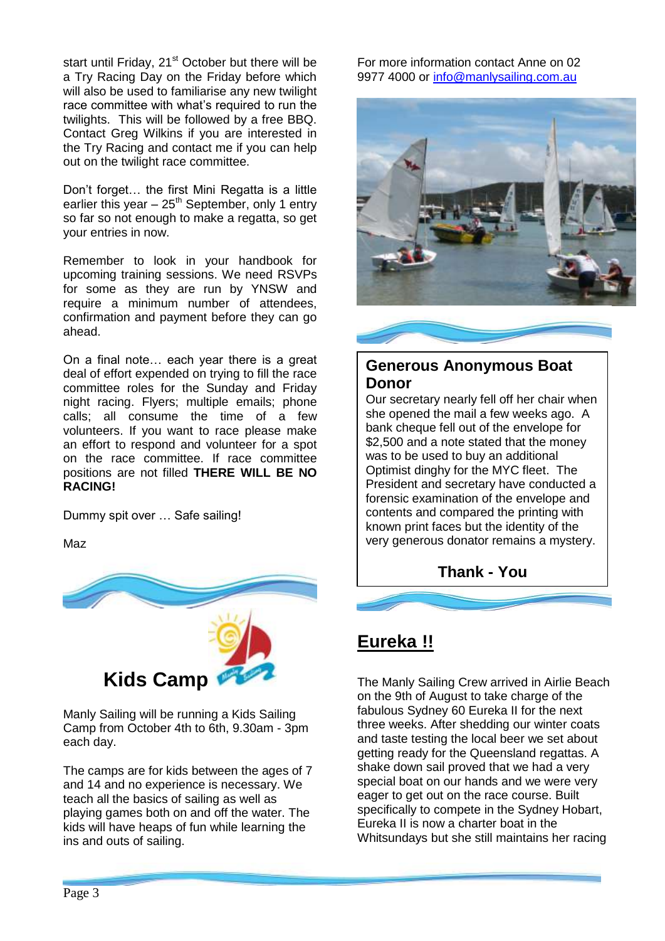start until Friday, 21<sup>st</sup> October but there will be a Try Racing Day on the Friday before which will also be used to familiarise any new twilight race committee with what's required to run the twilights. This will be followed by a free BBQ. Contact Greg Wilkins if you are interested in the Try Racing and contact me if you can help out on the twilight race committee.

Don't forget… the first Mini Regatta is a little earlier this year  $-25<sup>th</sup>$  September, only 1 entry so far so not enough to make a regatta, so get your entries in now.

Remember to look in your handbook for upcoming training sessions. We need RSVPs for some as they are run by YNSW and require a minimum number of attendees, confirmation and payment before they can go ahead.

On a final note… each year there is a great deal of effort expended on trying to fill the race committee roles for the Sunday and Friday night racing. Flyers; multiple emails; phone calls; all consume the time of a few volunteers. If you want to race please make an effort to respond and volunteer for a spot on the race committee. If race committee positions are not filled **THERE WILL BE NO RACING!**

Dummy spit over … Safe sailing!

Maz



Manly Sailing will be running a Kids Sailing Camp from October 4th to 6th, 9.30am - 3pm each day.

The camps are for kids between the ages of 7 and 14 and no experience is necessary. We teach all the basics of sailing as well as playing games both on and off the water. The kids will have heaps of fun while learning the ins and outs of sailing.

For more information contact Anne on 02 9977 4000 or [info@manlysailing.com.au](mailto:info@manlysailing.com.au)



### **Generous Anonymous Boat Donor**

Our secretary nearly fell off her chair when she opened the mail a few weeks ago. A bank cheque fell out of the envelope for \$2,500 and a note stated that the money was to be used to buy an additional Optimist dinghy for the MYC fleet. The President and secretary have conducted a forensic examination of the envelope and contents and compared the printing with known print faces but the identity of the very generous donator remains a mystery.

**Thank - You**

## **Eureka !!**

The Manly Sailing Crew arrived in Airlie Beach on the 9th of August to take charge of the fabulous Sydney 60 Eureka II for the next three weeks. After shedding our winter coats and taste testing the local beer we set about getting ready for the Queensland regattas. A shake down sail proved that we had a very special boat on our hands and we were very eager to get out on the race course. Built specifically to compete in the Sydney Hobart, Eureka II is now a charter boat in the Whitsundays but she still maintains her racing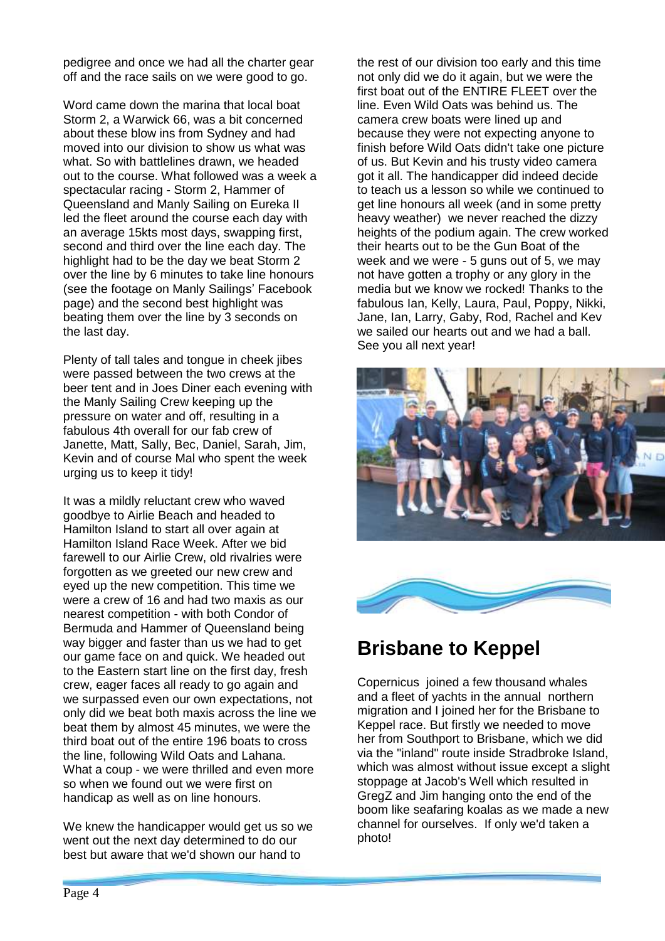pedigree and once we had all the charter gear off and the race sails on we were good to go.

Word came down the marina that local boat Storm 2, a Warwick 66, was a bit concerned about these blow ins from Sydney and had moved into our division to show us what was what. So with battlelines drawn, we headed out to the course. What followed was a week a spectacular racing - Storm 2, Hammer of Queensland and Manly Sailing on Eureka II led the fleet around the course each day with an average 15kts most days, swapping first, second and third over the line each day. The highlight had to be the day we beat Storm 2 over the line by 6 minutes to take line honours (see the footage on Manly Sailings' Facebook page) and the second best highlight was beating them over the line by 3 seconds on the last day.

Plenty of tall tales and tongue in cheek jibes were passed between the two crews at the beer tent and in Joes Diner each evening with the Manly Sailing Crew keeping up the pressure on water and off, resulting in a fabulous 4th overall for our fab crew of Janette, Matt, Sally, Bec, Daniel, Sarah, Jim, Kevin and of course Mal who spent the week urging us to keep it tidy!

It was a mildly reluctant crew who waved goodbye to Airlie Beach and headed to Hamilton Island to start all over again at Hamilton Island Race Week. After we bid farewell to our Airlie Crew, old rivalries were forgotten as we greeted our new crew and eyed up the new competition. This time we were a crew of 16 and had two maxis as our nearest competition - with both Condor of Bermuda and Hammer of Queensland being way bigger and faster than us we had to get our game face on and quick. We headed out to the Eastern start line on the first day, fresh crew, eager faces all ready to go again and we surpassed even our own expectations, not only did we beat both maxis across the line we beat them by almost 45 minutes, we were the third boat out of the entire 196 boats to cross the line, following Wild Oats and Lahana. What a coup - we were thrilled and even more so when we found out we were first on handicap as well as on line honours.

We knew the handicapper would get us so we went out the next day determined to do our best but aware that we'd shown our hand to

the rest of our division too early and this time not only did we do it again, but we were the first boat out of the ENTIRE FLEET over the line. Even Wild Oats was behind us. The camera crew boats were lined up and because they were not expecting anyone to finish before Wild Oats didn't take one picture of us. But Kevin and his trusty video camera got it all. The handicapper did indeed decide to teach us a lesson so while we continued to get line honours all week (and in some pretty heavy weather) we never reached the dizzy heights of the podium again. The crew worked their hearts out to be the Gun Boat of the week and we were - 5 guns out of 5, we may not have gotten a trophy or any glory in the media but we know we rocked! Thanks to the fabulous Ian, Kelly, Laura, Paul, Poppy, Nikki, Jane, Ian, Larry, Gaby, Rod, Rachel and Kev we sailed our hearts out and we had a ball. See you all next year!





# **Brisbane to Keppel**

Copernicus joined a few thousand whales and a fleet of yachts in the annual northern migration and I joined her for the Brisbane to Keppel race. But firstly we needed to move her from Southport to Brisbane, which we did via the "inland" route inside Stradbroke Island, which was almost without issue except a slight stoppage at Jacob's Well which resulted in GregZ and Jim hanging onto the end of the boom like seafaring koalas as we made a new channel for ourselves. If only we'd taken a photo!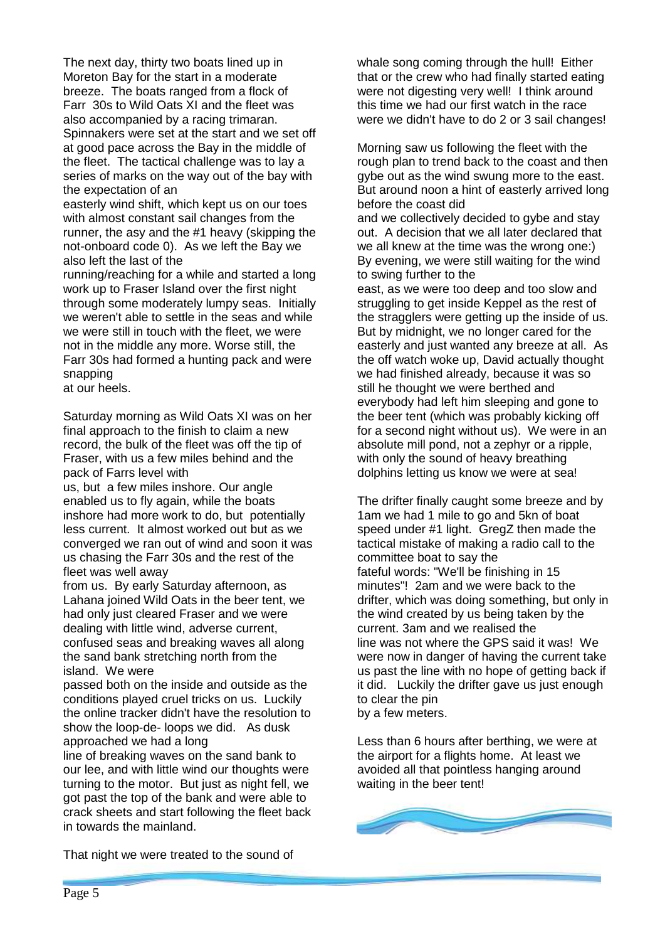The next day, thirty two boats lined up in Moreton Bay for the start in a moderate breeze. The boats ranged from a flock of Farr 30s to Wild Oats XI and the fleet was also accompanied by a racing trimaran. Spinnakers were set at the start and we set off at good pace across the Bay in the middle of the fleet. The tactical challenge was to lay a series of marks on the way out of the bay with the expectation of an

easterly wind shift, which kept us on our toes with almost constant sail changes from the runner, the asy and the #1 heavy (skipping the not-onboard code 0). As we left the Bay we also left the last of the

running/reaching for a while and started a long work up to Fraser Island over the first night through some moderately lumpy seas. Initially we weren't able to settle in the seas and while we were still in touch with the fleet, we were not in the middle any more. Worse still, the Farr 30s had formed a hunting pack and were snapping

at our heels.

Saturday morning as Wild Oats XI was on her final approach to the finish to claim a new record, the bulk of the fleet was off the tip of Fraser, with us a few miles behind and the pack of Farrs level with

us, but a few miles inshore. Our angle enabled us to fly again, while the boats inshore had more work to do, but potentially less current. It almost worked out but as we converged we ran out of wind and soon it was us chasing the Farr 30s and the rest of the fleet was well away

from us. By early Saturday afternoon, as Lahana joined Wild Oats in the beer tent, we had only just cleared Fraser and we were dealing with little wind, adverse current, confused seas and breaking waves all along the sand bank stretching north from the island. We were

passed both on the inside and outside as the conditions played cruel tricks on us. Luckily the online tracker didn't have the resolution to show the loop-de- loops we did. As dusk approached we had a long

line of breaking waves on the sand bank to our lee, and with little wind our thoughts were turning to the motor. But just as night fell, we got past the top of the bank and were able to crack sheets and start following the fleet back in towards the mainland.

That night we were treated to the sound of

whale song coming through the hull! Either that or the crew who had finally started eating were not digesting very well! I think around this time we had our first watch in the race were we didn't have to do 2 or 3 sail changes!

Morning saw us following the fleet with the rough plan to trend back to the coast and then gybe out as the wind swung more to the east. But around noon a hint of easterly arrived long before the coast did

and we collectively decided to gybe and stay out. A decision that we all later declared that we all knew at the time was the wrong one:) By evening, we were still waiting for the wind to swing further to the

east, as we were too deep and too slow and struggling to get inside Keppel as the rest of the stragglers were getting up the inside of us. But by midnight, we no longer cared for the easterly and just wanted any breeze at all. As the off watch woke up, David actually thought we had finished already, because it was so still he thought we were berthed and everybody had left him sleeping and gone to the beer tent (which was probably kicking off for a second night without us). We were in an absolute mill pond, not a zephyr or a ripple, with only the sound of heavy breathing dolphins letting us know we were at sea!

The drifter finally caught some breeze and by 1am we had 1 mile to go and 5kn of boat speed under #1 light. GregZ then made the tactical mistake of making a radio call to the committee boat to say the fateful words: "We'll be finishing in 15 minutes"! 2am and we were back to the drifter, which was doing something, but only in the wind created by us being taken by the current. 3am and we realised the line was not where the GPS said it was! We were now in danger of having the current take us past the line with no hope of getting back if it did. Luckily the drifter gave us just enough to clear the pin

by a few meters.

Less than 6 hours after berthing, we were at the airport for a flights home. At least we avoided all that pointless hanging around waiting in the beer tent!

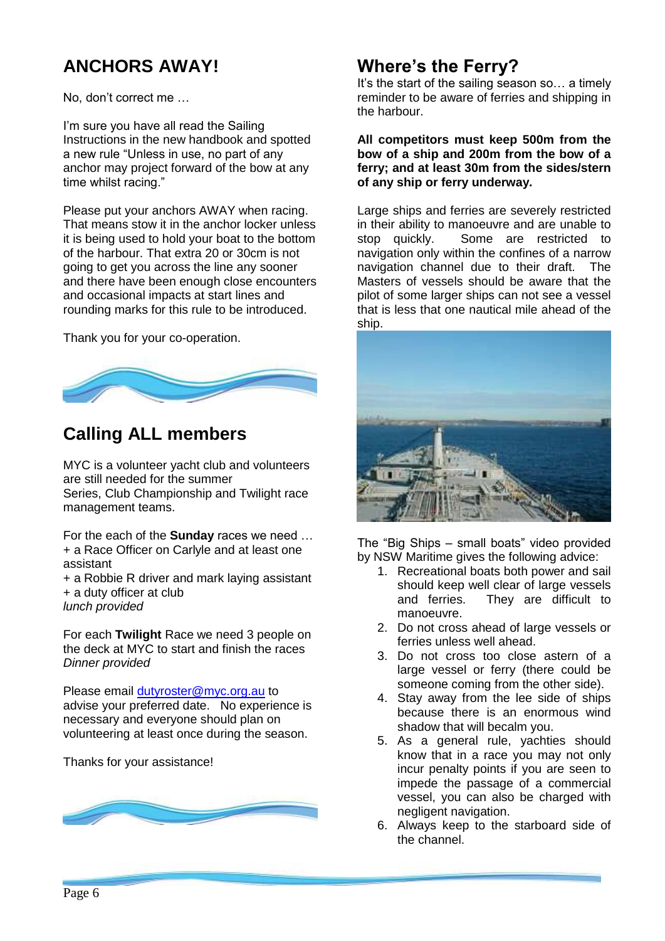# **ANCHORS AWAY!**

No, don't correct me …

I'm sure you have all read the Sailing Instructions in the new handbook and spotted a new rule "Unless in use, no part of any anchor may project forward of the bow at any time whilst racing."

Please put your anchors AWAY when racing. That means stow it in the anchor locker unless it is being used to hold your boat to the bottom of the harbour. That extra 20 or 30cm is not going to get you across the line any sooner and there have been enough close encounters and occasional impacts at start lines and rounding marks for this rule to be introduced.

Thank you for your co-operation.



## **Calling ALL members**

MYC is a volunteer yacht club and volunteers are still needed for the summer Series, Club Championship and Twilight race management teams.

For the each of the **Sunday** races we need … + a Race Officer on Carlyle and at least one assistant

+ a Robbie R driver and mark laying assistant + a duty officer at club *lunch provided*

For each **Twilight** Race we need 3 people on the deck at MYC to start and finish the races *Dinner provided*

Please email [dutyroster@myc.org.au](mailto:dutyroster@myc.org.au) to advise your preferred date. No experience is necessary and everyone should plan on volunteering at least once during the season.

Thanks for your assistance!



## **Where's the Ferry?**

It's the start of the sailing season so... a timely reminder to be aware of ferries and shipping in the harbour.

**All competitors must keep 500m from the bow of a ship and 200m from the bow of a ferry; and at least 30m from the sides/stern of any ship or ferry underway.** 

Large ships and ferries are severely restricted in their ability to manoeuvre and are unable to stop quickly. Some are restricted to navigation only within the confines of a narrow navigation channel due to their draft. The Masters of vessels should be aware that the pilot of some larger ships can not see a vessel that is less that one nautical mile ahead of the ship.



The "Big Ships – small boats" video provided by NSW Maritime gives the following advice:

- 1. Recreational boats both power and sail should keep well clear of large vessels and ferries. They are difficult to manoeuvre.
- 2. Do not cross ahead of large vessels or ferries unless well ahead.
- 3. Do not cross too close astern of a large vessel or ferry (there could be someone coming from the other side).
- 4. Stay away from the lee side of ships because there is an enormous wind shadow that will becalm you.
- 5. As a general rule, yachties should know that in a race you may not only incur penalty points if you are seen to impede the passage of a commercial vessel, you can also be charged with negligent navigation.
- 6. Always keep to the starboard side of the channel.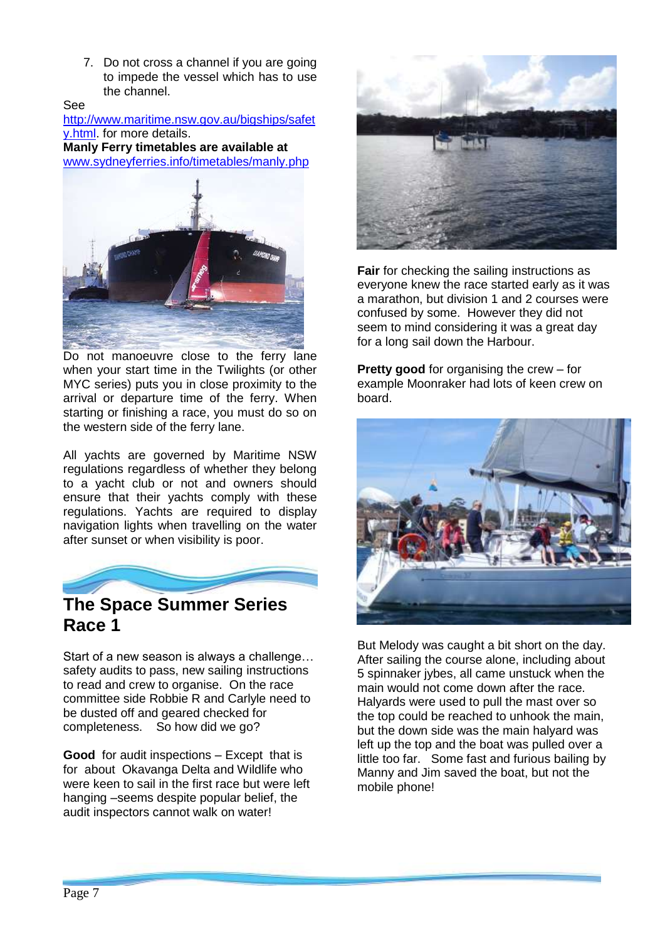7. Do not cross a channel if you are going to impede the vessel which has to use the channel.

See

[http://www.maritime.nsw.gov.au/bigships/safet](http://www.maritime.nsw.gov.au/bigships/safety.html) [y.html.](http://www.maritime.nsw.gov.au/bigships/safety.html) for more details.

**Manly Ferry timetables are available at** [www.sydneyferries.info/timetables/manly.php](http://www.sydneyferries.info/timetables/manly.php) 



Do not manoeuvre close to the ferry lane when your start time in the Twilights (or other MYC series) puts you in close proximity to the arrival or departure time of the ferry. When starting or finishing a race, you must do so on the western side of the ferry lane.

All yachts are governed by Maritime NSW regulations regardless of whether they belong to a yacht club or not and owners should ensure that their yachts comply with these regulations. Yachts are required to display navigation lights when travelling on the water after sunset or when visibility is poor.



# **Race 1**

Start of a new season is always a challenge… safety audits to pass, new sailing instructions to read and crew to organise. On the race committee side Robbie R and Carlyle need to be dusted off and geared checked for completeness. So how did we go?

**Good** for audit inspections – Except that is for about Okavanga Delta and Wildlife who were keen to sail in the first race but were left hanging –seems despite popular belief, the audit inspectors cannot walk on water!



**Fair** for checking the sailing instructions as everyone knew the race started early as it was a marathon, but division 1 and 2 courses were confused by some. However they did not seem to mind considering it was a great day for a long sail down the Harbour.

**Pretty good** for organising the crew – for example Moonraker had lots of keen crew on board.



But Melody was caught a bit short on the day. After sailing the course alone, including about 5 spinnaker jybes, all came unstuck when the main would not come down after the race. Halyards were used to pull the mast over so the top could be reached to unhook the main, but the down side was the main halyard was left up the top and the boat was pulled over a little too far. Some fast and furious bailing by Manny and Jim saved the boat, but not the mobile phone!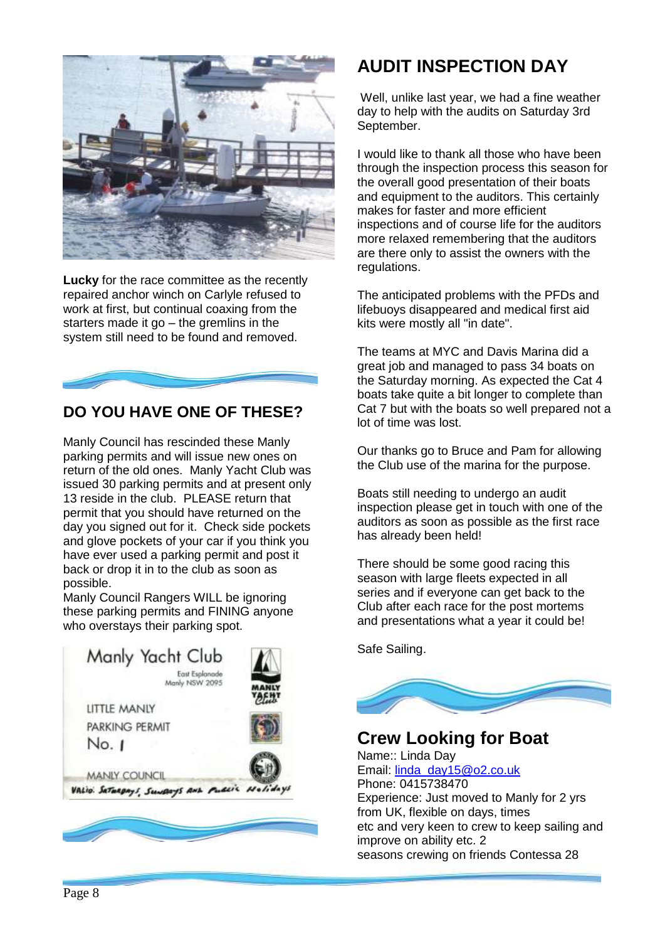

**Lucky** for the race committee as the recently repaired anchor winch on Carlyle refused to work at first, but continual coaxing from the starters made it go – the gremlins in the system still need to be found and removed.

### **DO YOU HAVE ONE OF THESE?**

Manly Council has rescinded these Manly parking permits and will issue new ones on return of the old ones. Manly Yacht Club was issued 30 parking permits and at present only 13 reside in the club. PLEASE return that permit that you should have returned on the day you signed out for it. Check side pockets and glove pockets of your car if you think you have ever used a parking permit and post it back or drop it in to the club as soon as possible.

Manly Council Rangers WILL be ignoring these parking permits and FINING anyone who overstays their parking spot.



## **AUDIT INSPECTION DAY**

Well, unlike last year, we had a fine weather day to help with the audits on Saturday 3rd September.

I would like to thank all those who have been through the inspection process this season for the overall good presentation of their boats and equipment to the auditors. This certainly makes for faster and more efficient inspections and of course life for the auditors more relaxed remembering that the auditors are there only to assist the owners with the regulations.

The anticipated problems with the PFDs and lifebuoys disappeared and medical first aid kits were mostly all "in date".

The teams at MYC and Davis Marina did a great job and managed to pass 34 boats on the Saturday morning. As expected the Cat 4 boats take quite a bit longer to complete than Cat 7 but with the boats so well prepared not a lot of time was lost.

Our thanks go to Bruce and Pam for allowing the Club use of the marina for the purpose.

Boats still needing to undergo an audit inspection please get in touch with one of the auditors as soon as possible as the first race has already been held!

There should be some good racing this season with large fleets expected in all series and if everyone can get back to the Club after each race for the post mortems and presentations what a year it could be!

Safe Sailing.



**Crew Looking for Boat** Name:: Linda Day Email: [linda\\_day15@o2.co.uk](mailto:linda_day15@o2.co.uk) Phone: 0415738470 Experience: Just moved to Manly for 2 yrs from UK, flexible on days, times etc and very keen to crew to keep sailing and improve on ability etc. 2 seasons crewing on friends Contessa 28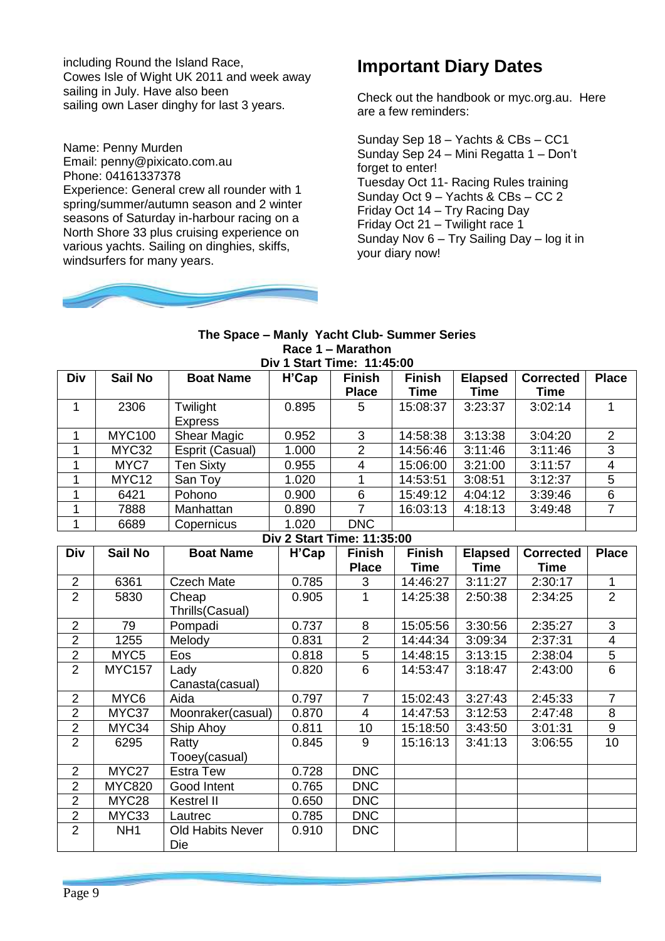including Round the Island Race, Cowes Isle of Wight UK 2011 and week away sailing in July. Have also been sailing own Laser dinghy for last 3 years.

Name: Penny Murden Email: penny@pixicato.com.au Phone: 04161337378 Experience: General crew all rounder with 1 spring/summer/autumn season and 2 winter seasons of Saturday in-harbour racing on a North Shore 33 plus cruising experience on various yachts. Sailing on dinghies, skiffs, windsurfers for many years.



## **Important Diary Dates**

Check out the handbook or myc.org.au. Here are a few reminders:

Sunday Sep 18 – Yachts & CBs – CC1 Sunday Sep 24 – Mini Regatta 1 – Don't forget to enter! Tuesday Oct 11- Racing Rules training Sunday Oct 9 – Yachts & CBs – CC 2 Friday Oct 14 – Try Racing Day Friday Oct 21 – Twilight race 1 Sunday Nov 6 – Try Sailing Day – log it in your diary now!

I

#### **The Space – Manly Yacht Club- Summer Series Race 1 – Marathon Div 1 Start Time: 11:45:00**

| <b>DIVIOLATE FRIGHT 11.70.00</b> |                   |                    |                                       |               |               |                |                  |              |  |  |  |  |
|----------------------------------|-------------------|--------------------|---------------------------------------|---------------|---------------|----------------|------------------|--------------|--|--|--|--|
| <b>Div</b>                       | Sail No           | <b>Boat Name</b>   | $H$ <sup><math>\circ</math></sup> Cap | <b>Finish</b> | <b>Finish</b> | <b>Elapsed</b> | <b>Corrected</b> | <b>Place</b> |  |  |  |  |
|                                  |                   |                    |                                       | <b>Place</b>  | Time          | Time           | <b>Time</b>      |              |  |  |  |  |
|                                  | 2306              | Twilight           | 0.895                                 | 5             | 15:08:37      | 3:23:37        | 3:02:14          |              |  |  |  |  |
|                                  |                   | <b>Express</b>     |                                       |               |               |                |                  |              |  |  |  |  |
|                                  | <b>MYC100</b>     | <b>Shear Magic</b> | 0.952                                 | 3             | 14:58:38      | 3:13:38        | 3:04:20          | 2            |  |  |  |  |
|                                  | MYC32             | Esprit (Casual)    | 1.000                                 | 2             | 14:56:46      | 3:11:46        | 3:11:46          | 3            |  |  |  |  |
|                                  | MYC7              | <b>Ten Sixty</b>   | 0.955                                 | 4             | 15:06:00      | 3:21:00        | 3:11:57          | 4            |  |  |  |  |
|                                  | MYC <sub>12</sub> | San Toy            | 1.020                                 |               | 14:53:51      | 3:08:51        | 3:12:37          | 5            |  |  |  |  |
|                                  | 6421              | Pohono             | 0.900                                 | 6             | 15:49:12      | 4:04:12        | 3:39:46          | 6            |  |  |  |  |
|                                  | 7888              | Manhattan          | 0.890                                 |               | 16:03:13      | 4:18:13        | 3:49:48          |              |  |  |  |  |
|                                  | 6689              | Copernicus         | 1.020                                 | <b>DNC</b>    |               |                |                  |              |  |  |  |  |

### **Div 2 Start Time: 11:35:00**

| <b>Div</b>     | Sail No          | <b>Boat Name</b>        | H'Cap | <b>Finish</b>  | <b>Finish</b> | <b>Elapsed</b> | <b>Corrected</b> | <b>Place</b>   |
|----------------|------------------|-------------------------|-------|----------------|---------------|----------------|------------------|----------------|
|                |                  |                         |       | <b>Place</b>   | Time          | <b>Time</b>    | <b>Time</b>      |                |
| $\overline{2}$ | 6361             | <b>Czech Mate</b>       | 0.785 | 3              | 14:46:27      | 3:11:27        | 2:30:17          | 1              |
| $\overline{2}$ | 5830             | Cheap                   | 0.905 |                | 14:25:38      | 2:50:38        | 2:34:25          | 2              |
|                |                  | Thrills(Casual)         |       |                |               |                |                  |                |
| $\overline{2}$ | 79               | Pompadi                 | 0.737 | 8              | 15:05:56      | 3:30:56        | 2:35:27          | 3              |
| $\overline{2}$ | 1255             | Melody                  | 0.831 | $\overline{2}$ | 14:44:34      | 3:09:34        | 2:37:31          | 4              |
| $\overline{2}$ | MYC <sub>5</sub> | Eos                     | 0.818 | 5              | 14:48:15      | 3:13:15        | 2:38:04          | 5              |
| $\overline{2}$ | <b>MYC157</b>    | Lady                    | 0.820 | 6              | 14:53:47      | 3:18:47        | 2:43:00          | 6              |
|                |                  | Canasta(casual)         |       |                |               |                |                  |                |
| $\overline{2}$ | MYC6             | Aida                    | 0.797 | $\overline{7}$ | 15:02:43      | 3:27:43        | 2:45:33          | $\overline{7}$ |
| $\overline{2}$ | MYC37            | Moonraker(casual)       | 0.870 | $\overline{4}$ | 14:47:53      | 3:12:53        | 2:47:48          | 8              |
| $\overline{2}$ | MYC34            | Ship Ahoy               | 0.811 | 10             | 15:18:50      | 3:43:50        | 3:01:31          | 9              |
| $\overline{2}$ | 6295             | Ratty                   | 0.845 | 9              | 15:16:13      | 3:41:13        | 3:06:55          | 10             |
|                |                  | Tooey(casual)           |       |                |               |                |                  |                |
| $\overline{2}$ | MYC27            | <b>Estra Tew</b>        | 0.728 | <b>DNC</b>     |               |                |                  |                |
| $\overline{2}$ | <b>MYC820</b>    | Good Intent             | 0.765 | <b>DNC</b>     |               |                |                  |                |
| $\overline{2}$ | MYC28            | Kestrel II              | 0.650 | <b>DNC</b>     |               |                |                  |                |
| $\overline{2}$ | MYC33            | Lautrec                 | 0.785 | <b>DNC</b>     |               |                |                  |                |
| $\overline{2}$ | NH <sub>1</sub>  | <b>Old Habits Never</b> | 0.910 | <b>DNC</b>     |               |                |                  |                |
|                |                  | Die                     |       |                |               |                |                  |                |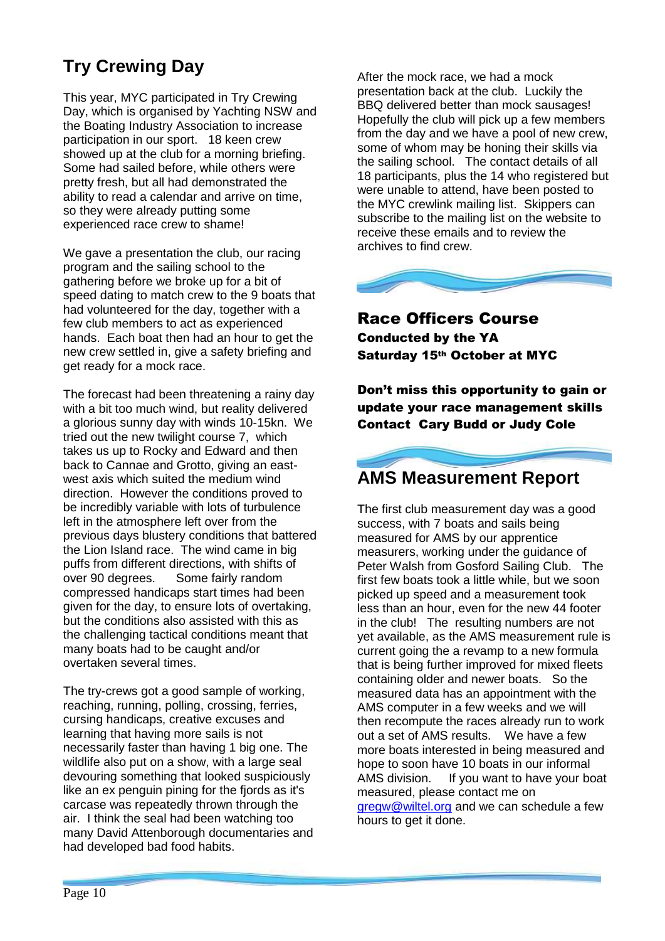# **Try Crewing Day**

This year, MYC participated in Try Crewing Day, which is organised by Yachting NSW and the Boating Industry Association to increase participation in our sport. 18 keen crew showed up at the club for a morning briefing. Some had sailed before, while others were pretty fresh, but all had demonstrated the ability to read a calendar and arrive on time, so they were already putting some experienced race crew to shame!

We gave a presentation the club, our racing program and the sailing school to the gathering before we broke up for a bit of speed dating to match crew to the 9 boats that had volunteered for the day, together with a few club members to act as experienced hands. Each boat then had an hour to get the new crew settled in, give a safety briefing and get ready for a mock race.

The forecast had been threatening a rainy day with a bit too much wind, but reality delivered a glorious sunny day with winds 10-15kn. We tried out the new twilight course 7, which takes us up to Rocky and Edward and then back to Cannae and Grotto, giving an eastwest axis which suited the medium wind direction. However the conditions proved to be incredibly variable with lots of turbulence left in the atmosphere left over from the previous days blustery conditions that battered the Lion Island race. The wind came in big puffs from different directions, with shifts of over 90 degrees. Some fairly random compressed handicaps start times had been given for the day, to ensure lots of overtaking, but the conditions also assisted with this as the challenging tactical conditions meant that many boats had to be caught and/or overtaken several times.

The try-crews got a good sample of working, reaching, running, polling, crossing, ferries, cursing handicaps, creative excuses and learning that having more sails is not necessarily faster than having 1 big one. The wildlife also put on a show, with a large seal devouring something that looked suspiciously like an ex penguin pining for the fiords as it's carcase was repeatedly thrown through the air. I think the seal had been watching too many David Attenborough documentaries and had developed bad food habits.

After the mock race, we had a mock presentation back at the club. Luckily the BBQ delivered better than mock sausages! Hopefully the club will pick up a few members from the day and we have a pool of new crew, some of whom may be honing their skills via the sailing school. The contact details of all 18 participants, plus the 14 who registered but were unable to attend, have been posted to the MYC crewlink mailing list. Skippers can subscribe to the mailing list on the website to receive these emails and to review the archives to find crew.



Race Officers Course Conducted by the YA Saturday 15th October at MYC

Don't miss this opportunity to gain or update your race management skills Contact Cary Budd or Judy Cole



The first club measurement day was a good success, with 7 boats and sails being measured for AMS by our apprentice measurers, working under the guidance of Peter Walsh from Gosford Sailing Club. The first few boats took a little while, but we soon picked up speed and a measurement took less than an hour, even for the new 44 footer in the club! The resulting numbers are not yet available, as the AMS measurement rule is current going the a revamp to a new formula that is being further improved for mixed fleets containing older and newer boats. So the measured data has an appointment with the AMS computer in a few weeks and we will then recompute the races already run to work out a set of AMS results. We have a few more boats interested in being measured and hope to soon have 10 boats in our informal AMS division. If you want to have your boat measured, please contact me on [gregw@wiltel.org](mailto:gregw@wiltel.org) and we can schedule a few hours to get it done.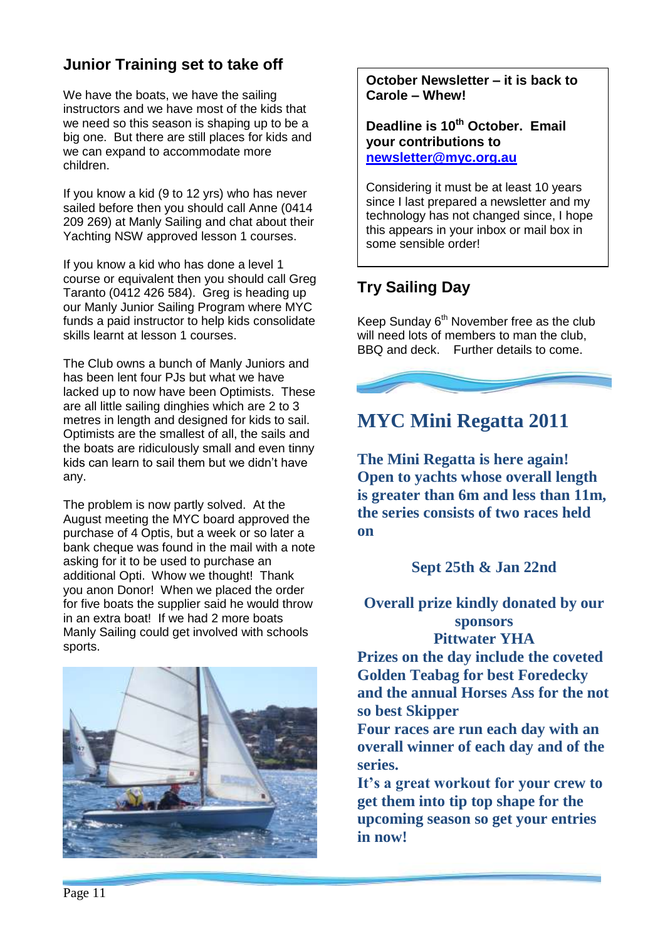## **Junior Training set to take off**

We have the boats, we have the sailing instructors and we have most of the kids that we need so this season is shaping up to be a big one. But there are still places for kids and we can expand to accommodate more children.

If you know a kid (9 to 12 yrs) who has never sailed before then you should call Anne (0414 209 269) at Manly Sailing and chat about their Yachting NSW approved lesson 1 courses.

If you know a kid who has done a level 1 course or equivalent then you should call Greg Taranto (0412 426 584). Greg is heading up our Manly Junior Sailing Program where MYC funds a paid instructor to help kids consolidate skills learnt at lesson 1 courses.

The Club owns a bunch of Manly Juniors and has been lent four PJs but what we have lacked up to now have been Optimists. These are all little sailing dinghies which are 2 to 3 metres in length and designed for kids to sail. Optimists are the smallest of all, the sails and the boats are ridiculously small and even tinny kids can learn to sail them but we didn't have any.

The problem is now partly solved. At the August meeting the MYC board approved the purchase of 4 Optis, but a week or so later a bank cheque was found in the mail with a note asking for it to be used to purchase an additional Opti. Whow we thought! Thank you anon Donor! When we placed the order for five boats the supplier said he would throw in an extra boat! If we had 2 more boats Manly Sailing could get involved with schools sports.



**October Newsletter – it is back to Carole – Whew!**

**Deadline is 10th October. Email your contributions to [newsletter@myc.org.au](mailto:newsletter@myc.org.au)**

Considering it must be at least 10 years since I last prepared a newsletter and my technology has not changed since, I hope this appears in your inbox or mail box in some sensible order!

## **Try Sailing Day**

Keep Sunday 6<sup>th</sup> November free as the club will need lots of members to man the club. BBQ and deck. Further details to come.



## **MYC Mini Regatta 2011**

**The Mini Regatta is here again! Open to yachts whose overall length is greater than 6m and less than 11m, the series consists of two races held on**

### **Sept 25th & Jan 22nd**

**Overall prize kindly donated by our sponsors**

**Pittwater YHA**

**Prizes on the day include the coveted Golden Teabag for best Foredecky and the annual Horses Ass for the not so best Skipper**

**Four races are run each day with an overall winner of each day and of the series.**

**It's a great workout for your crew to get them into tip top shape for the upcoming season so get your entries in now!**